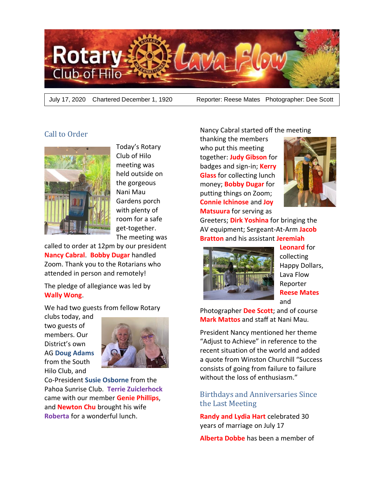

July 17, 2020 Chartered December 1, 1920 Reporter: Reese Mates Photographer: Dee Scott

#### Call to Order



Today's Rotary Club of Hilo meeting was held outside on the gorgeous Nani Mau Gardens porch with plenty of room for a safe get-together. The meeting was

called to order at 12pm by our president **Nancy Cabral**. **Bobby Dugar** handled Zoom. Thank you to the Rotarians who attended in person and remotely!

The pledge of allegiance was led by **Wally Wong**.

We had two guests from fellow Rotary

clubs today, and two guests of members. Our District's own AG **Doug Adams** from the South Hilo Club, and



Co-President **Susie Osborne** from the Pahoa Sunrise Club. **Terrie Zuiclerhock** came with our member **Genie Phillips**, and **Newton Chu** brought his wife **Roberta** for a wonderful lunch.

Nancy Cabral started off the meeting

thanking the members who put this meeting together: **Judy Gibson** for badges and sign-in; **Kerry Glass** for collecting lunch money; **Bobby Dugar** for putting things on Zoom; **Connie Ichinose** and **Joy Matsuura** for serving as



Greeters; **Dirk Yoshina** for bringing the AV equipment; Sergeant-At-Arm **Jacob Bratton** and his assistant **Jeremiah** 



**Leonard** for collecting Happy Dollars, Lava Flow Reporter **Reese Mates** and

Photographer **Dee Scott**; and of course **Mark Mattos** and staff at Nani Mau.

President Nancy mentioned her theme "Adjust to Achieve" in reference to the recent situation of the world and added a quote from Winston Churchill "Success consists of going from failure to failure without the loss of enthusiasm."

## Birthdays and Anniversaries Since the Last Meeting

**Randy and Lydia Hart** celebrated 30 years of marriage on July 17

**Alberta Dobbe** has been a member of